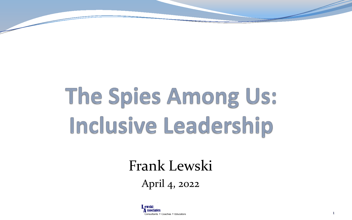# The Spies Among Us: Inclusive Leadership

#### Frank Lewski April 4, 2022

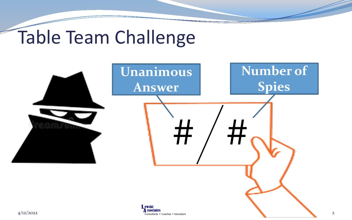# Table Team Challenge

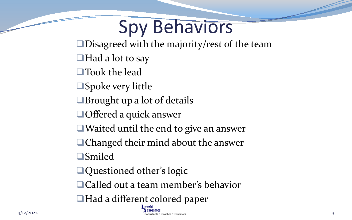# Spy Behaviors

■Disagreed with the majority/rest of the team

 $\Box$  Had a lot to say

■Took the lead

**□Spoke very little** 

Brought up a lot of details

■Offered a quick answer

■Waited until the end to give an answer

■Changed their mind about the answer

Smiled

■Questioned other's logic

□ Called out a team member's behavior

■Had a different colored paper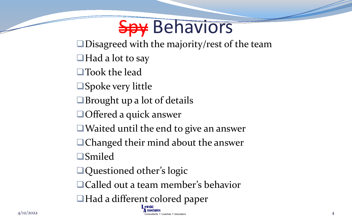### Spy Behaviors

■Disagreed with the majority/rest of the team

- $\Box$  Had a lot to say
- ■Took the lead
- **□Spoke very little**
- Brought up a lot of details
- ■Offered a quick answer
- ■Waited until the end to give an answer
- ■Changed their mind about the answer
- Smiled
- ■Questioned other's logic
- □ Called out a team member's behavior
- ■Had a different colored paper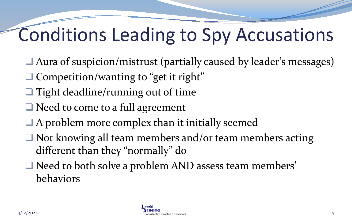# Conditions Leading to Spy Accusations

- Aura of suspicion/mistrust (partially caused by leader's messages)
- $\Box$  Competition/wanting to "get it right"
- $\Box$  Tight deadline/running out of time
- $\Box$  Need to come to a full agreement
- $\Box$  A problem more complex than it initially seemed
- Not knowing all team members and/or team members acting different than they "normally" do
- Need to both solve a problem AND assess team members' behaviors

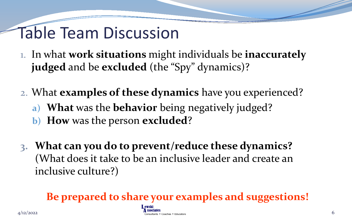#### Table Team Discussion

- 1. In what **work situations** might individuals be **inaccurately judged** and be **excluded** (the "Spy" dynamics)?
- 2. What **examples of these dynamics** have you experienced?
	- **a) What** was the **behavior** being negatively judged?
	- **b) How** was the person **excluded**?
- **3. What can you do to prevent/reduce these dynamics?**  (What does it take to be an inclusive leader and create an inclusive culture?)

**Be prepared to share your examples and suggestions!**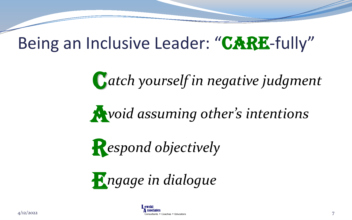#### Being an Inclusive Leader: "CARE-fully"

C *atch yourself in negative judgment*

A *void assuming other's intentions*